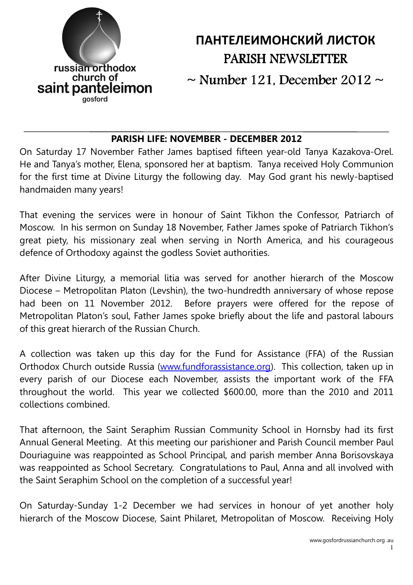

# ПАНТЕЛЕИМОНСКИЙ ЛИСТОК PARISH NEWSLETTER

 $\sim$  Number 121, December 2012  $\sim$ 

#### PARISH LIFE: NOVEMBER - DECEMBER 2012

On Saturday 17 November Father James baptised fifteen year-old Tanya Kazakova-Orel. He and Tanya's mother, Elena, sponsored her at baptism. Tanya received Holy Communion for the first time at Divine Liturgy the following day. May God grant his newly-baptised handmaiden many years!

That evening the services were in honour of Saint Tikhon the Confessor, Patriarch of Moscow. In his sermon on Sunday 18 November, Father James spoke of Patriarch Tikhon's great piety, his missionary zeal when serving in North America, and his courageous defence of Orthodoxy against the godless Soviet authorities.

After Divine Liturgy, a memorial litia was served for another hierarch of the Moscow Diocese – Metropolitan Platon (Levshin), the two-hundredth anniversary of whose repose had been on 11 November 2012. Before prayers were offered for the repose of Metropolitan Platon's soul, Father James spoke briefly about the life and pastoral labours of this great hierarch of the Russian Church.

A collection was taken up this day for the Fund for Assistance (FFA) of the Russian Orthodox Church outside Russia (www.fundforassistance.org). This collection, taken up in every parish of our Diocese each November, assists the important work of the FFA throughout the world. This year we collected \$600.00, more than the 2010 and 2011 collections combined.

That afternoon, the Saint Seraphim Russian Community School in Hornsby had its first Annual General Meeting. At this meeting our parishioner and Parish Council member Paul Douriaguine was reappointed as School Principal, and parish member Anna Borisovskaya was reappointed as School Secretary. Congratulations to Paul, Anna and all involved with the Saint Seraphim School on the completion of a successful year!

On Saturday-Sunday 1-2 December we had services in honour of yet another holy hierarch of the Moscow Diocese, Saint Philaret, Metropolitan of Moscow. Receiving Holy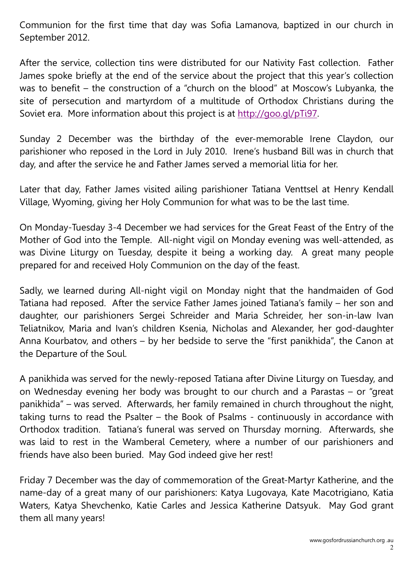Communion for the first time that day was Sofia Lamanova, baptized in our church in September 2012.

After the service, collection tins were distributed for our Nativity Fast collection. Father James spoke briefly at the end of the service about the project that this year's collection was to benefit – the construction of a "church on the blood" at Moscow's Lubyanka, the site of persecution and martyrdom of a multitude of Orthodox Christians during the Soviet era. More information about this project is at http://goo.gl/pTi97.

Sunday 2 December was the birthday of the ever-memorable Irene Claydon, our parishioner who reposed in the Lord in July 2010. Irene's husband Bill was in church that day, and after the service he and Father James served a memorial litia for her.

Later that day, Father James visited ailing parishioner Tatiana Venttsel at Henry Kendall Village, Wyoming, giving her Holy Communion for what was to be the last time.

On Monday-Tuesday 3-4 December we had services for the Great Feast of the Entry of the Mother of God into the Temple. All-night vigil on Monday evening was well-attended, as was Divine Liturgy on Tuesday, despite it being a working day. A great many people prepared for and received Holy Communion on the day of the feast.

Sadly, we learned during All-night vigil on Monday night that the handmaiden of God Tatiana had reposed. After the service Father James joined Tatiana's family – her son and daughter, our parishioners Sergei Schreider and Maria Schreider, her son-in-law Ivan Teliatnikov, Maria and Ivan's children Ksenia, Nicholas and Alexander, her god-daughter Anna Kourbatov, and others – by her bedside to serve the "first panikhida", the Canon at the Departure of the Soul.

A panikhida was served for the newly-reposed Tatiana after Divine Liturgy on Tuesday, and on Wednesday evening her body was brought to our church and a Parastas – or "great panikhida" – was served. Afterwards, her family remained in church throughout the night, taking turns to read the Psalter – the Book of Psalms - continuously in accordance with Orthodox tradition. Tatiana's funeral was served on Thursday morning. Afterwards, she was laid to rest in the Wamberal Cemetery, where a number of our parishioners and friends have also been buried. May God indeed give her rest!

Friday 7 December was the day of commemoration of the Great-Martyr Katherine, and the name-day of a great many of our parishioners: Katya Lugovaya, Kate Macotrigiano, Katia Waters, Katya Shevchenko, Katie Carles and Jessica Katherine Datsyuk. May God grant them all many years!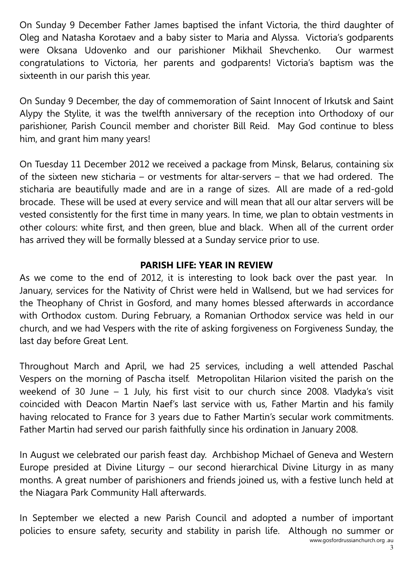On Sunday 9 December Father James baptised the infant Victoria, the third daughter of Oleg and Natasha Korotaev and a baby sister to Maria and Alyssa. Victoria's godparents were Oksana Udovenko and our parishioner Mikhail Shevchenko. Our warmest congratulations to Victoria, her parents and godparents! Victoria's baptism was the sixteenth in our parish this year.

On Sunday 9 December, the day of commemoration of Saint Innocent of Irkutsk and Saint Alypy the Stylite, it was the twelfth anniversary of the reception into Orthodoxy of our parishioner, Parish Council member and chorister Bill Reid. May God continue to bless him, and grant him many years!

On Tuesday 11 December 2012 we received a package from Minsk, Belarus, containing six of the sixteen new sticharia – or vestments for altar-servers – that we had ordered. The sticharia are beautifully made and are in a range of sizes. All are made of a red-gold brocade. These will be used at every service and will mean that all our altar servers will be vested consistently for the first time in many years. In time, we plan to obtain vestments in other colours: white first, and then green, blue and black. When all of the current order has arrived they will be formally blessed at a Sunday service prior to use.

## PARISH LIFE: YEAR IN REVIEW

As we come to the end of 2012, it is interesting to look back over the past year. In January, services for the Nativity of Christ were held in Wallsend, but we had services for the Theophany of Christ in Gosford, and many homes blessed afterwards in accordance with Orthodox custom. During February, a Romanian Orthodox service was held in our church, and we had Vespers with the rite of asking forgiveness on Forgiveness Sunday, the last day before Great Lent.

Throughout March and April, we had 25 services, including a well attended Paschal Vespers on the morning of Pascha itself. Metropolitan Hilarion visited the parish on the weekend of 30 June – 1 July, his first visit to our church since 2008. Vladyka's visit coincided with Deacon Martin Naef's last service with us, Father Martin and his family having relocated to France for 3 years due to Father Martin's secular work commitments. Father Martin had served our parish faithfully since his ordination in January 2008.

In August we celebrated our parish feast day. Archbishop Michael of Geneva and Western Europe presided at Divine Liturgy – our second hierarchical Divine Liturgy in as many months. A great number of parishioners and friends joined us, with a festive lunch held at the Niagara Park Community Hall afterwards.

www.gosfordrussianchurch.org .au In September we elected a new Parish Council and adopted a number of important policies to ensure safety, security and stability in parish life. Although no summer or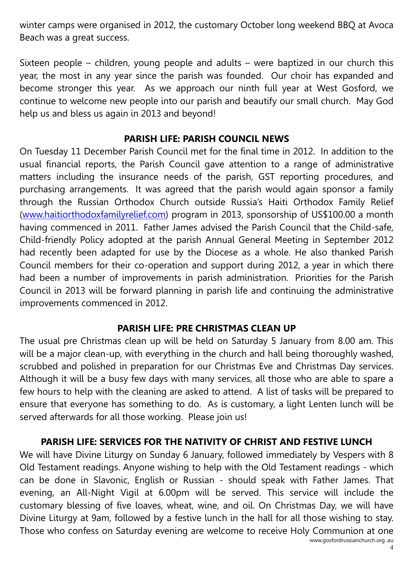winter camps were organised in 2012, the customary October long weekend BBQ at Avoca Beach was a great success.

Sixteen people – children, young people and adults – were baptized in our church this year, the most in any year since the parish was founded. Our choir has expanded and become stronger this year. As we approach our ninth full year at West Gosford, we continue to welcome new people into our parish and beautify our small church. May God help us and bless us again in 2013 and beyond!

#### PARISH LIFE: PARISH COUNCIL NEWS

On Tuesday 11 December Parish Council met for the final time in 2012. In addition to the usual financial reports, the Parish Council gave attention to a range of administrative matters including the insurance needs of the parish, GST reporting procedures, and purchasing arrangements. It was agreed that the parish would again sponsor a family through the Russian Orthodox Church outside Russia's Haiti Orthodox Family Relief (www.haitiorthodoxfamilyrelief.com) program in 2013, sponsorship of US\$100.00 a month having commenced in 2011. Father James advised the Parish Council that the Child-safe, Child-friendly Policy adopted at the parish Annual General Meeting in September 2012 had recently been adapted for use by the Diocese as a whole. He also thanked Parish Council members for their co-operation and support during 2012, a year in which there had been a number of improvements in parish administration. Priorities for the Parish Council in 2013 will be forward planning in parish life and continuing the administrative improvements commenced in 2012.

#### PARISH LIFE: PRE CHRISTMAS CLEAN UP

The usual pre Christmas clean up will be held on Saturday 5 January from 8.00 am. This will be a major clean-up, with everything in the church and hall being thoroughly washed, scrubbed and polished in preparation for our Christmas Eve and Christmas Day services. Although it will be a busy few days with many services, all those who are able to spare a few hours to help with the cleaning are asked to attend. A list of tasks will be prepared to ensure that everyone has something to do. As is customary, a light Lenten lunch will be served afterwards for all those working. Please join us!

#### PARISH LIFE: SERVICES FOR THE NATIVITY OF CHRIST AND FESTIVE LUNCH

www.gosfordrussianchurch.org .au We will have Divine Liturgy on Sunday 6 January, followed immediately by Vespers with 8 Old Testament readings. Anyone wishing to help with the Old Testament readings - which can be done in Slavonic, English or Russian - should speak with Father James. That evening, an All-Night Vigil at 6.00pm will be served. This service will include the customary blessing of five loaves, wheat, wine, and oil. On Christmas Day, we will have Divine Liturgy at 9am, followed by a festive lunch in the hall for all those wishing to stay. Those who confess on Saturday evening are welcome to receive Holy Communion at one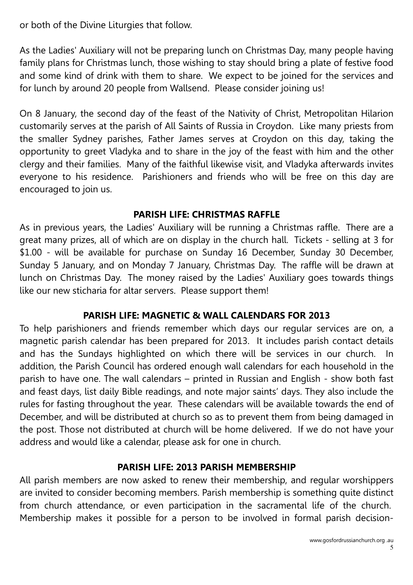or both of the Divine Liturgies that follow.

As the Ladies' Auxiliary will not be preparing lunch on Christmas Day, many people having family plans for Christmas lunch, those wishing to stay should bring a plate of festive food and some kind of drink with them to share. We expect to be joined for the services and for lunch by around 20 people from Wallsend. Please consider joining us!

On 8 January, the second day of the feast of the Nativity of Christ, Metropolitan Hilarion customarily serves at the parish of All Saints of Russia in Croydon. Like many priests from the smaller Sydney parishes, Father James serves at Croydon on this day, taking the opportunity to greet Vladyka and to share in the joy of the feast with him and the other clergy and their families. Many of the faithful likewise visit, and Vladyka afterwards invites everyone to his residence. Parishioners and friends who will be free on this day are encouraged to join us.

## PARISH LIFE: CHRISTMAS RAFFLE

As in previous years, the Ladies' Auxiliary will be running a Christmas raffle. There are a great many prizes, all of which are on display in the church hall. Tickets - selling at 3 for \$1.00 - will be available for purchase on Sunday 16 December, Sunday 30 December, Sunday 5 January, and on Monday 7 January, Christmas Day. The raffle will be drawn at lunch on Christmas Day. The money raised by the Ladies' Auxiliary goes towards things like our new sticharia for altar servers. Please support them!

## PARISH LIFE: MAGNETIC & WALL CALENDARS FOR 2013

To help parishioners and friends remember which days our regular services are on, a magnetic parish calendar has been prepared for 2013. It includes parish contact details and has the Sundays highlighted on which there will be services in our church. In addition, the Parish Council has ordered enough wall calendars for each household in the parish to have one. The wall calendars – printed in Russian and English - show both fast and feast days, list daily Bible readings, and note major saints' days. They also include the rules for fasting throughout the year. These calendars will be available towards the end of December, and will be distributed at church so as to prevent them from being damaged in the post. Those not distributed at church will be home delivered. If we do not have your address and would like a calendar, please ask for one in church.

## PARISH LIFE: 2013 PARISH MEMBERSHIP

All parish members are now asked to renew their membership, and regular worshippers are invited to consider becoming members. Parish membership is something quite distinct from church attendance, or even participation in the sacramental life of the church. Membership makes it possible for a person to be involved in formal parish decision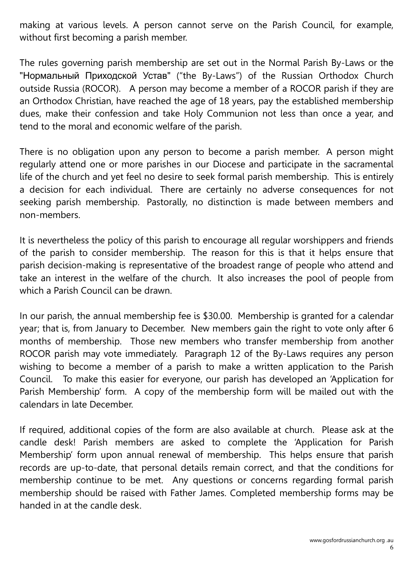making at various levels. A person cannot serve on the Parish Council, for example, without first becoming a parish member.

The rules governing parish membership are set out in the Normal Parish By-Laws or the "Нормальный Приходской Устав" ("the By-Laws") of the Russian Orthodox Church outside Russia (ROCOR). A person may become a member of a ROCOR parish if they are an Orthodox Christian, have reached the age of 18 years, pay the established membership dues, make their confession and take Holy Communion not less than once a year, and tend to the moral and economic welfare of the parish.

There is no obligation upon any person to become a parish member. A person might regularly attend one or more parishes in our Diocese and participate in the sacramental life of the church and yet feel no desire to seek formal parish membership. This is entirely a decision for each individual. There are certainly no adverse consequences for not seeking parish membership. Pastorally, no distinction is made between members and non-members.

It is nevertheless the policy of this parish to encourage all regular worshippers and friends of the parish to consider membership. The reason for this is that it helps ensure that parish decision-making is representative of the broadest range of people who attend and take an interest in the welfare of the church. It also increases the pool of people from which a Parish Council can be drawn.

In our parish, the annual membership fee is \$30.00. Membership is granted for a calendar year; that is, from January to December. New members gain the right to vote only after 6 months of membership. Those new members who transfer membership from another ROCOR parish may vote immediately. Paragraph 12 of the By-Laws requires any person wishing to become a member of a parish to make a written application to the Parish Council. To make this easier for everyone, our parish has developed an 'Application for Parish Membership' form. A copy of the membership form will be mailed out with the calendars in late December.

If required, additional copies of the form are also available at church. Please ask at the candle desk! Parish members are asked to complete the 'Application for Parish Membership' form upon annual renewal of membership. This helps ensure that parish records are up-to-date, that personal details remain correct, and that the conditions for membership continue to be met. Any questions or concerns regarding formal parish membership should be raised with Father James. Completed membership forms may be handed in at the candle desk.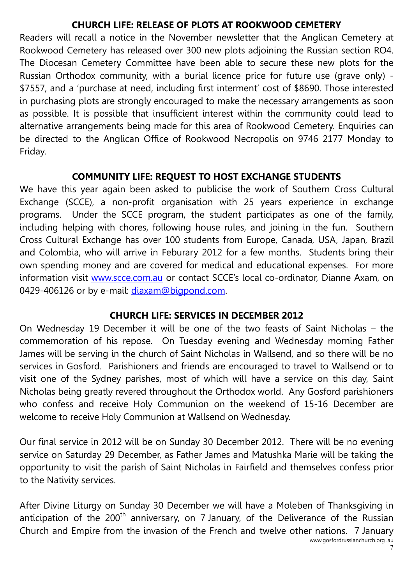#### CHURCH LIFE: RELEASE OF PLOTS AT ROOKWOOD CEMETERY

Readers will recall a notice in the November newsletter that the Anglican Cemetery at Rookwood Cemetery has released over 300 new plots adjoining the Russian section RO4. The Diocesan Cemetery Committee have been able to secure these new plots for the Russian Orthodox community, with a burial licence price for future use (grave only) - \$7557, and a 'purchase at need, including first interment' cost of \$8690. Those interested in purchasing plots are strongly encouraged to make the necessary arrangements as soon as possible. It is possible that insufficient interest within the community could lead to alternative arrangements being made for this area of Rookwood Cemetery. Enquiries can be directed to the Anglican Office of Rookwood Necropolis on 9746 2177 Monday to Friday.

#### COMMUNITY LIFE: REQUEST TO HOST EXCHANGE STUDENTS

We have this year again been asked to publicise the work of Southern Cross Cultural Exchange (SCCE), a non-profit organisation with 25 years experience in exchange programs. Under the SCCE program, the student participates as one of the family, including helping with chores, following house rules, and joining in the fun. Southern Cross Cultural Exchange has over 100 students from Europe, Canada, USA, Japan, Brazil and Colombia, who will arrive in Feburary 2012 for a few months. Students bring their own spending money and are covered for medical and educational expenses. For more information visit www.scce.com.au or contact SCCE's local co-ordinator, Dianne Axam, on 0429-406126 or by e-mail: diaxam@bigpond.com.

#### CHURCH LIFE: SERVICES IN DECEMBER 2012

On Wednesday 19 December it will be one of the two feasts of Saint Nicholas – the commemoration of his repose. On Tuesday evening and Wednesday morning Father James will be serving in the church of Saint Nicholas in Wallsend, and so there will be no services in Gosford. Parishioners and friends are encouraged to travel to Wallsend or to visit one of the Sydney parishes, most of which will have a service on this day, Saint Nicholas being greatly revered throughout the Orthodox world. Any Gosford parishioners who confess and receive Holy Communion on the weekend of 15-16 December are welcome to receive Holy Communion at Wallsend on Wednesday.

Our final service in 2012 will be on Sunday 30 December 2012. There will be no evening service on Saturday 29 December, as Father James and Matushka Marie will be taking the opportunity to visit the parish of Saint Nicholas in Fairfield and themselves confess prior to the Nativity services.

After Divine Liturgy on Sunday 30 December we will have a Moleben of Thanksgiving in anticipation of the 200<sup>th</sup> anniversary, on 7 January, of the Deliverance of the Russian Church and Empire from the invasion of the French and twelve other nations. 7 January

<sup>7</sup>